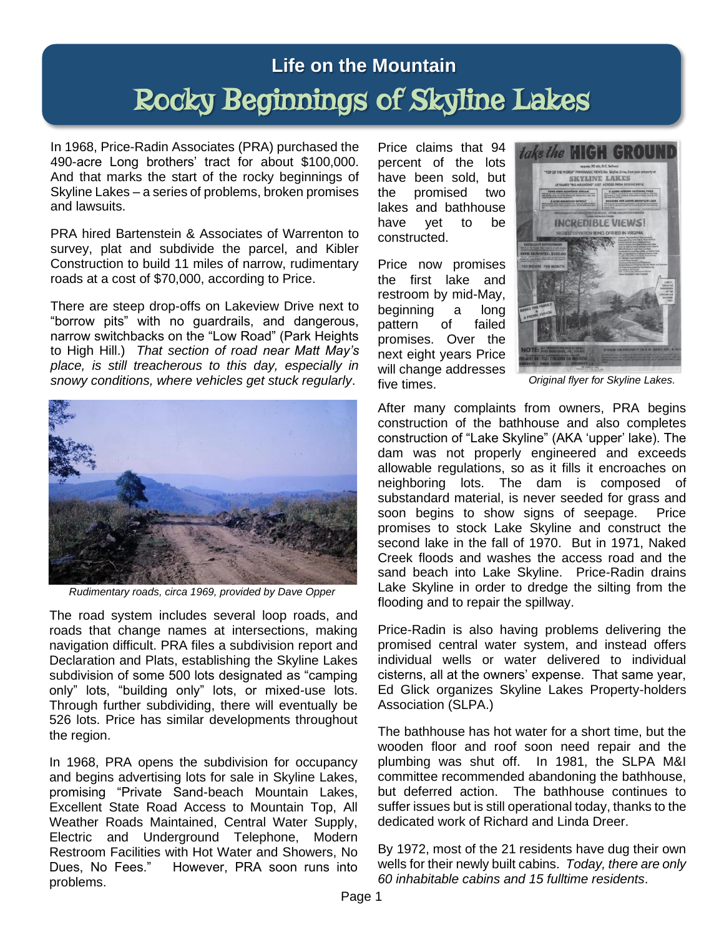## **Life on the Mountain** Rocky Beginnings of Skyline Lakes

In 1968, Price-Radin Associates (PRA) purchased the 490-acre Long brothers' tract for about \$100,000. And that marks the start of the rocky beginnings of Skyline Lakes – a series of problems, broken promises and lawsuits.

PRA hired Bartenstein & Associates of Warrenton to survey, plat and subdivide the parcel, and Kibler Construction to build 11 miles of narrow, rudimentary roads at a cost of \$70,000, according to Price.

There are steep drop-offs on Lakeview Drive next to "borrow pits" with no guardrails, and dangerous, narrow switchbacks on the "Low Road" (Park Heights to High Hill.) *That section of road near Matt May's place, is still treacherous to this day, especially in snowy conditions, where vehicles get stuck regularly*.



*Rudimentary roads, circa 1969, provided by Dave Opper*

The road system includes several loop roads, and roads that change names at intersections, making navigation difficult. PRA files a subdivision report and Declaration and Plats, establishing the Skyline Lakes subdivision of some 500 lots designated as "camping only" lots, "building only" lots, or mixed-use lots. Through further subdividing, there will eventually be 526 lots. Price has similar developments throughout the region.

In 1968, PRA opens the subdivision for occupancy and begins advertising lots for sale in Skyline Lakes, promising "Private Sand-beach Mountain Lakes, Excellent State Road Access to Mountain Top, All Weather Roads Maintained, Central Water Supply, Electric and Underground Telephone, Modern Restroom Facilities with Hot Water and Showers, No Dues, No Fees." However, PRA soon runs into problems.

Price claims that 94 percent of the lots have been sold, but the promised two lakes and bathhouse have yet to be constructed.

Price now promises the first lake and restroom by mid-May, beginning a long pattern of failed promises. Over the next eight years Price will change addresses five times.



*Original flyer for Skyline Lakes.*

After many complaints from owners, PRA begins construction of the bathhouse and also completes construction of "Lake Skyline" (AKA 'upper' lake). The dam was not properly engineered and exceeds allowable regulations, so as it fills it encroaches on neighboring lots. The dam is composed of substandard material, is never seeded for grass and soon begins to show signs of seepage. Price promises to stock Lake Skyline and construct the second lake in the fall of 1970. But in 1971, Naked Creek floods and washes the access road and the sand beach into Lake Skyline. Price-Radin drains Lake Skyline in order to dredge the silting from the flooding and to repair the spillway.

Price-Radin is also having problems delivering the promised central water system, and instead offers individual wells or water delivered to individual cisterns, all at the owners' expense. That same year, Ed Glick organizes Skyline Lakes Property-holders Association (SLPA.)

The bathhouse has hot water for a short time, but the wooden floor and roof soon need repair and the plumbing was shut off. In 1981, the SLPA M&I committee recommended abandoning the bathhouse, but deferred action. The bathhouse continues to suffer issues but is still operational today, thanks to the dedicated work of Richard and Linda Dreer.

By 1972, most of the 21 residents have dug their own wells for their newly built cabins. *Today, there are only 60 inhabitable cabins and 15 fulltime residents*.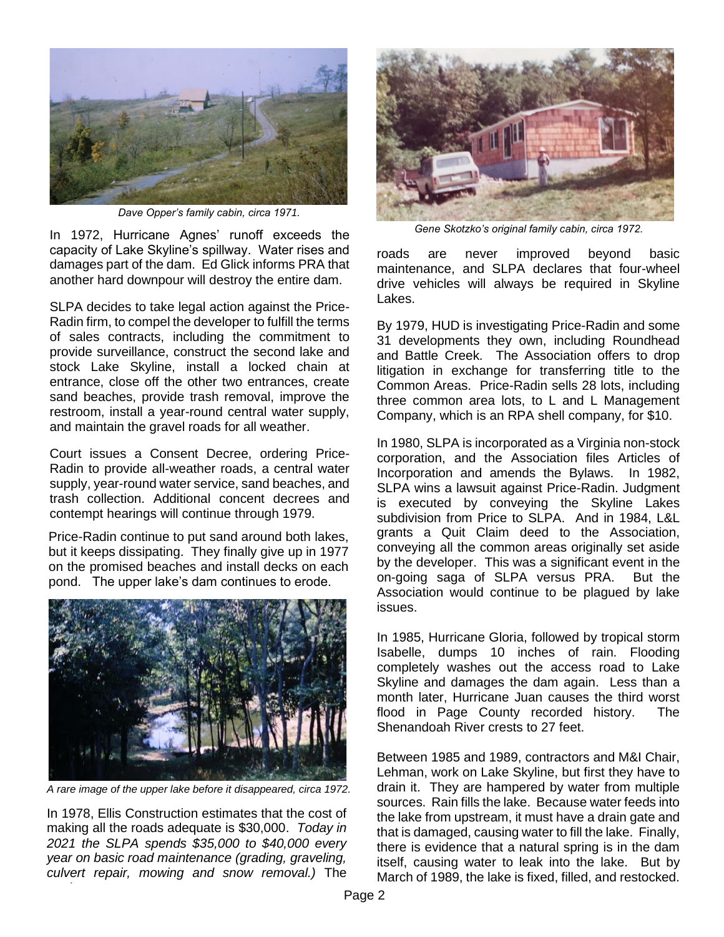

*Dave Opper's family cabin, circa 1971.*

In 1972, Hurricane Agnes' runoff exceeds the capacity of Lake Skyline's spillway. Water rises and damages part of the dam. Ed Glick informs PRA that another hard downpour will destroy the entire dam.

SLPA decides to take legal action against the Price-Radin firm, to compel the developer to fulfill the terms of sales contracts, including the commitment to provide surveillance, construct the second lake and stock Lake Skyline, install a locked chain at entrance, close off the other two entrances, create sand beaches, provide trash removal, improve the restroom, install a year-round central water supply, and maintain the gravel roads for all weather.

Court issues a Consent Decree, ordering Price-Radin to provide all-weather roads, a central water supply, year-round water service, sand beaches, and trash collection. Additional concent decrees and contempt hearings will continue through 1979.

Price-Radin continue to put sand around both lakes, but it keeps dissipating. They finally give up in 1977 on the promised beaches and install decks on each pond. The upper lake's dam continues to erode.



*A rare image of the upper lake before it disappeared, circa 1972.*

In 1978, Ellis Construction estimates that the cost of making all the roads adequate is \$30,000. *Today in 2021 the SLPA spends \$35,000 to \$40,000 every year on basic road maintenance (grading, graveling, culvert repair, mowing and snow removal.)* The

roads



*Gene Skotzko's original family cabin, circa 1972.*

roads are never improved beyond basic maintenance, and SLPA declares that four-wheel drive vehicles will always be required in Skyline Lakes.

By 1979, HUD is investigating Price-Radin and some 31 developments they own, including Roundhead and Battle Creek. The Association offers to drop litigation in exchange for transferring title to the Common Areas. Price-Radin sells 28 lots, including three common area lots, to L and L Management Company, which is an RPA shell company, for \$10.

In 1980, SLPA is incorporated as a Virginia non-stock corporation, and the Association files Articles of Incorporation and amends the Bylaws. In 1982, SLPA wins a lawsuit against Price-Radin. Judgment is executed by conveying the Skyline Lakes subdivision from Price to SLPA. And in 1984, L&L grants a Quit Claim deed to the Association, conveying all the common areas originally set aside by the developer. This was a significant event in the on-going saga of SLPA versus PRA. But the Association would continue to be plagued by lake issues.

In 1985, Hurricane Gloria, followed by tropical storm Isabelle, dumps 10 inches of rain. Flooding completely washes out the access road to Lake Skyline and damages the dam again. Less than a month later, Hurricane Juan causes the third worst flood in Page County recorded history. The Shenandoah River crests to 27 feet.

Between 1985 and 1989, contractors and M&I Chair, Lehman, work on Lake Skyline, but first they have to drain it. They are hampered by water from multiple sources. Rain fills the lake. Because water feeds into the lake from upstream, it must have a drain gate and that is damaged, causing water to fill the lake. Finally, there is evidence that a natural spring is in the dam itself, causing water to leak into the lake. But by March of 1989, the lake is fixed, filled, and restocked.